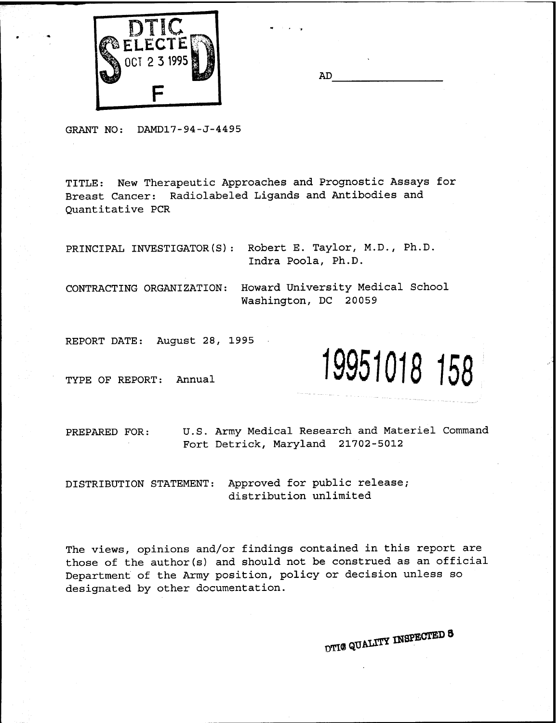

| AГ |  |
|----|--|
|    |  |

GRANT NO: DAMD17-94-J-4495

TITLE: New Therapeutic Approaches and Prognostic Assays for Breast Cancer: Radiolabeled Ligands and Antibodies and Quantitative PCR

PRINCIPAL INVESTIGATOR(S): Robert E. Taylor, M.D., Ph.D. Indra Poola, Ph.D.

CONTRACTING ORGANIZATION: Howard University Medical School Washington, DC 20059

REPORT DATE: August 28, 1995

TYPE OF REPORT: Annual **19951018 158**

PREPARED FOR: U.S. Army Medical Research and Materiel Command Fort Detrick, Maryland 21702-5012

DISTRIBUTION STATEMENT: Approved for public release; distribution unlimited

The views, opinions and/or findings contained in this report are those of the author(s) and should not be construed as an official Department of the Army position, policy or decision unless so designated by other documentation.

DTI**®** QUALITY INSPECTED **3**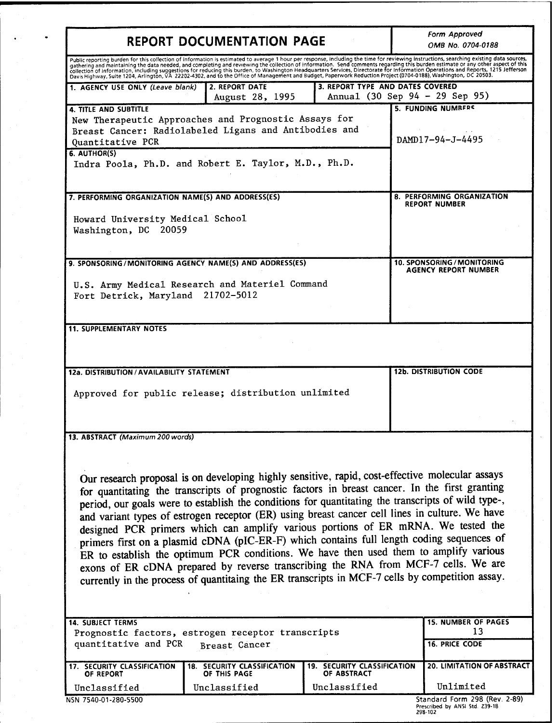| REPORT DOCUMENTATION PAGE                                                                                                                                                                                                                                                                                                                                                                                                                                                                                                                                                                   |                                                    |                                                   | Form Approved<br>OMB No. 0704-0188                                                                                                                                                                                                                                                                                                                                                                                                                                                                                                                               |
|---------------------------------------------------------------------------------------------------------------------------------------------------------------------------------------------------------------------------------------------------------------------------------------------------------------------------------------------------------------------------------------------------------------------------------------------------------------------------------------------------------------------------------------------------------------------------------------------|----------------------------------------------------|---------------------------------------------------|------------------------------------------------------------------------------------------------------------------------------------------------------------------------------------------------------------------------------------------------------------------------------------------------------------------------------------------------------------------------------------------------------------------------------------------------------------------------------------------------------------------------------------------------------------------|
| Davis Highway, Suite 1204, Arlington, VA 22202-4302, and to the Office of Management and Budget, Paperwork Reduction Project (0704-0188), Washington, DC 20503.                                                                                                                                                                                                                                                                                                                                                                                                                             |                                                    |                                                   | Public reporting burden for this collection of information is estimated to average 1 hour per response, including the time for reviewing instructions, searching existing data sources,<br>gathering and maintaining the data needed, and completing and reviewing the collection of information. Send comments regarding this burden estimate or any other aspect of this<br>collection of information, including suggestions for reducing this burden. to Washington Headquarters Services, Directorate for information Operations and Reports, 1215 Jefferson |
| 1. AGENCY USE ONLY (Leave blank)                                                                                                                                                                                                                                                                                                                                                                                                                                                                                                                                                            | 2. REPORT DATE                                     | 3. REPORT TYPE AND DATES COVERED                  |                                                                                                                                                                                                                                                                                                                                                                                                                                                                                                                                                                  |
| <b>4. TITLE AND SUBTITLE</b><br>New Therapeutic Approaches and Prognostic Assays for<br>Breast Cancer: Radiolabeled Ligans and Antibodies and<br>Quantitative PCR<br>6. AUTHOR(S)<br>Indra Poola, Ph.D. and Robert E. Taylor, M.D., Ph.D.                                                                                                                                                                                                                                                                                                                                                   | August 28, 1995                                    |                                                   | Annual (30 Sep 94 - 29 Sep 95)<br>5. FUNDING NUMBERS<br>DAMD17-94-J-4495                                                                                                                                                                                                                                                                                                                                                                                                                                                                                         |
| 7. PERFORMING ORGANIZATION NAME(S) AND ADDRESS(ES)<br>Howard University Medical School<br>Washington, DC<br>20059                                                                                                                                                                                                                                                                                                                                                                                                                                                                           |                                                    |                                                   | 8. PERFORMING ORGANIZATION<br><b>REPORT NUMBER</b>                                                                                                                                                                                                                                                                                                                                                                                                                                                                                                               |
| 9. SPONSORING/MONITORING AGENCY NAME(S) AND ADDRESS(ES)<br>U.S. Army Medical Research and Materiel Command<br>Fort Detrick, Maryland 21702-5012                                                                                                                                                                                                                                                                                                                                                                                                                                             |                                                    |                                                   | 10. SPONSORING / MONITORING<br><b>AGENCY REPORT NUMBER</b>                                                                                                                                                                                                                                                                                                                                                                                                                                                                                                       |
| <b>11. SUPPLEMENTARY NOTES</b><br>12a. DISTRIBUTION / AVAILABILITY STATEMENT                                                                                                                                                                                                                                                                                                                                                                                                                                                                                                                |                                                    |                                                   | <b>12b. DISTRIBUTION CODE</b>                                                                                                                                                                                                                                                                                                                                                                                                                                                                                                                                    |
| Approved for public release; distribution unlimited<br>13. ABSTRACT (Maximum 200 words)                                                                                                                                                                                                                                                                                                                                                                                                                                                                                                     |                                                    |                                                   |                                                                                                                                                                                                                                                                                                                                                                                                                                                                                                                                                                  |
| Our research proposal is on developing highly sensitive, rapid, cost-effective molecular assays<br>for quantitating the transcripts of prognostic factors in breast cancer. In the first granting<br>period, our goals were to establish the conditions for quantitating the transcripts of wild type-,<br>and variant types of estrogen receptor (ER) using breast cancer cell lines in culture. We have<br>designed PCR primers which can amplify various portions of ER mRNA. We tested the<br>primers first on a plasmid cDNA (pIC-ER-F) which contains full length coding sequences of |                                                    |                                                   | ER to establish the optimum PCR conditions. We have then used them to amplify various                                                                                                                                                                                                                                                                                                                                                                                                                                                                            |
| exons of ER cDNA prepared by reverse transcribing the RNA from MCF-7 cells. We are<br>currently in the process of quantitaing the ER transcripts in MCF-7 cells by competition assay.                                                                                                                                                                                                                                                                                                                                                                                                       |                                                    |                                                   |                                                                                                                                                                                                                                                                                                                                                                                                                                                                                                                                                                  |
| <b>14. SUBJECT TERMS</b><br>Prognostic factors, estrogen receptor transcripts<br>quantitative and PCR                                                                                                                                                                                                                                                                                                                                                                                                                                                                                       | Breast Cancer                                      |                                                   | <b>15. NUMBER OF PAGES</b><br>13<br><b>16. PRICE CODE</b>                                                                                                                                                                                                                                                                                                                                                                                                                                                                                                        |
| <b>17. SECURITY CLASSIFICATION</b><br>OF REPORT                                                                                                                                                                                                                                                                                                                                                                                                                                                                                                                                             | <b>18. SECURITY CLASSIFICATION</b><br>OF THIS PAGE | <b>19. SECURITY CLASSIFICATION</b><br>OF ABSTRACT | 20. LIMITATION OF ABSTRACT                                                                                                                                                                                                                                                                                                                                                                                                                                                                                                                                       |

Prescribed by ANSI Std. Z39-18 298-102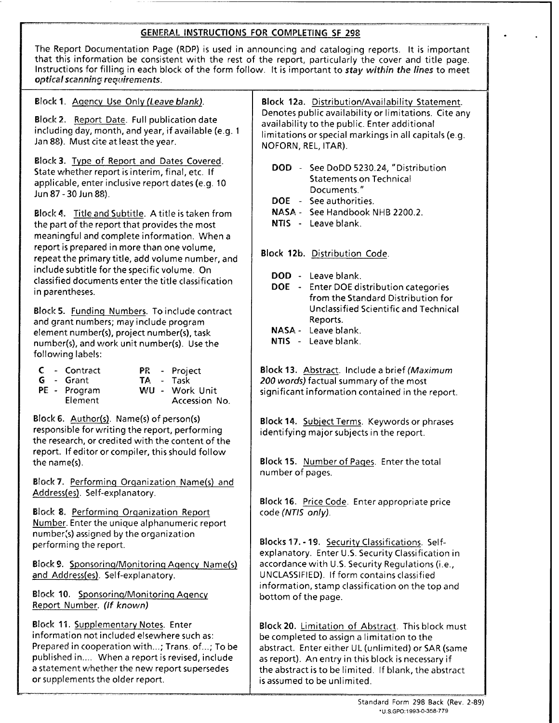## GENERAL **INSTRUCTIONS FOR** COMPLETING **SF** 298

| The Report Documentation Page (RDP) is used in announcing and cataloging reports. It is important<br>that this information be consistent with the rest of the report, particularly the cover and title page.<br>Instructions for filling in each block of the form follow. It is important to stay within the lines to meet<br>optical scanning requirements. |                                                                                                                                                                                                                                                                                                                                                           |  |  |  |
|---------------------------------------------------------------------------------------------------------------------------------------------------------------------------------------------------------------------------------------------------------------------------------------------------------------------------------------------------------------|-----------------------------------------------------------------------------------------------------------------------------------------------------------------------------------------------------------------------------------------------------------------------------------------------------------------------------------------------------------|--|--|--|
| Block 1. Agency Use Only (Leave blank).                                                                                                                                                                                                                                                                                                                       | Block 12a. Distribution/Availability Statement.<br>Denotes public availability or limitations. Cite any<br>availability to the public. Enter additional<br>limitations or special markings in all capitals (e.g.<br>NOFORN, REL, ITAR).                                                                                                                   |  |  |  |
| Block 2. Report Date. Full publication date<br>including day, month, and year, if available (e.g. 1<br>Jan 88). Must cite at least the year.                                                                                                                                                                                                                  |                                                                                                                                                                                                                                                                                                                                                           |  |  |  |
| Block 3. Type of Report and Dates Covered.<br>State whether report is interim, final, etc. If<br>applicable, enter inclusive report dates (e.g. 10<br>Jun 87 - 30 Jun 88).<br>Block 4. Title and Subtitle. A title is taken from                                                                                                                              | DOD - See DoDD 5230.24, "Distribution<br><b>Statements on Technical</b><br>Documents."<br>DOE - See authorities.<br>NASA - See Handbook NHB 2200.2.                                                                                                                                                                                                       |  |  |  |
| the part of the report that provides the most                                                                                                                                                                                                                                                                                                                 | NTIS - Leave blank.                                                                                                                                                                                                                                                                                                                                       |  |  |  |
| meaningful and complete information. When a<br>report is prepared in more than one volume,<br>repeat the primary title, add volume number, and<br>include subtitle for the specific volume. On<br>classified documents enter the title classification<br>in parentheses.                                                                                      | Block 12b. Distribution Code.<br>DOD - Leave blank.<br>DOE - Enter DOE distribution categories<br>from the Standard Distribution for                                                                                                                                                                                                                      |  |  |  |
| Block 5. Funding Numbers. To include contract<br>and grant numbers; may include program<br>element number(s), project number(s), task<br>number(s), and work unit number(s). Use the<br>following labels:                                                                                                                                                     | <b>Unclassified Scientific and Technical</b><br>Reports.<br>NASA - Leave blank.<br>NTIS - Leave blank.                                                                                                                                                                                                                                                    |  |  |  |
| $C -$ Contract<br>PR - Project<br>TA - Task<br>G - Grant<br>WU - Work Unit<br>PE - Program<br>Element<br>Accession No.                                                                                                                                                                                                                                        | <b>Block 13.</b> Abstract. Include a brief (Maximum<br>200 words) factual summary of the most<br>significant information contained in the report.                                                                                                                                                                                                         |  |  |  |
| Block 6. Author(s). Name(s) of person(s)<br>responsible for writing the report, performing<br>the research, or credited with the content of the<br>report. If editor or compiler, this should follow                                                                                                                                                          | Block 14. Subject Terms. Keywords or phrases<br>identifying major subjects in the report.                                                                                                                                                                                                                                                                 |  |  |  |
| the name(s).                                                                                                                                                                                                                                                                                                                                                  | Block 15. Number of Pages. Enter the total<br>number of pages.                                                                                                                                                                                                                                                                                            |  |  |  |
| Block 7. Performing Organization Name(s) and<br>Address(es). Self-explanatory.                                                                                                                                                                                                                                                                                | Block 16. Price Code. Enter appropriate price<br>code (NTIS only).<br>Blocks 17. - 19. Security Classifications. Self-<br>explanatory. Enter U.S. Security Classification in<br>accordance with U.S. Security Regulations (i.e.,<br>UNCLASSIFIED). If form contains classified<br>information, stamp classification on the top and<br>bottom of the page. |  |  |  |
| Block 8. Performing Organization Report<br>Number. Enter the unique alphanumeric report<br>number(s) assigned by the organization                                                                                                                                                                                                                             |                                                                                                                                                                                                                                                                                                                                                           |  |  |  |
| performing the report.<br>Block 9. Sponsoring/Monitoring Agency Name(s)                                                                                                                                                                                                                                                                                       |                                                                                                                                                                                                                                                                                                                                                           |  |  |  |
| and Address(es). Self-explanatory.                                                                                                                                                                                                                                                                                                                            |                                                                                                                                                                                                                                                                                                                                                           |  |  |  |
| Block 10. Sponsoring/Monitoring Agency<br>Report Number. (If known)                                                                                                                                                                                                                                                                                           |                                                                                                                                                                                                                                                                                                                                                           |  |  |  |
| Block 11. Supplementary Notes. Enter<br>information not included elsewhere such as:<br>Prepared in cooperation with; Trans. of; To be<br>published in When a report is revised, include<br>a statement whether the new report supersedes<br>or supplements the older report.                                                                                  | Block 20. Limitation of Abstract. This block must<br>be completed to assign a limitation to the<br>abstract. Enter either UL (unlimited) or SAR (same<br>as report). An entry in this block is necessary if<br>the abstract is to be limited. If blank, the abstract<br>is assumed to be unlimited.                                                       |  |  |  |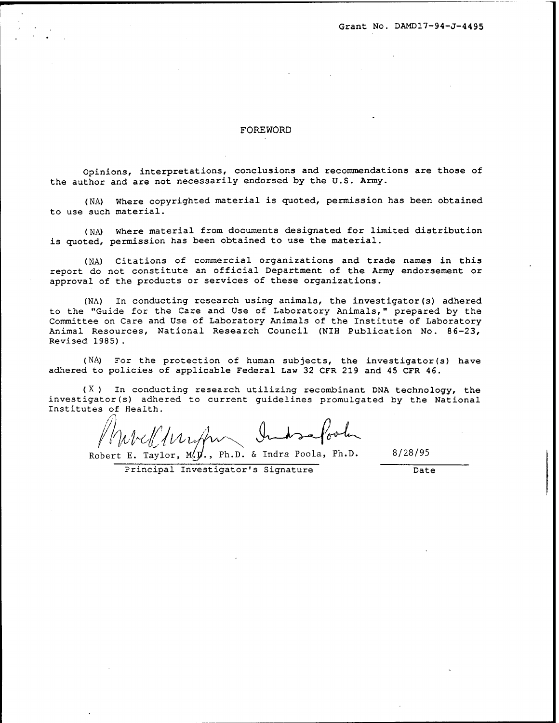Grant No. DÄMD17-94-J-4495

#### FOREWORD

Opinions, interpretations, conclusions and recommendations are those of the author and are not necessarily endorsed by the U.S. Army.

(NA) Where copyrighted material is quoted, permission has been obtained to use such material.

(NA) Where material from documents designated for limited distribution is quoted, permission has been obtained to use the material.

(NA) Citations of commercial organizations and trade names in this report do not constitute an official Department of the Army endorsement or approval of the products or services of these organizations.

(NA) In conducting research using animals, the investigator(s) adhered to the "Guide for the Care and Use of Laboratory Animals," prepared by the Committee on Care and Use of Laboratory Animals of the Institute of Laboratory Animal Resources, National Research Council (NIH Publication No. 86-23, Revised 1985) .

(NA) For the protection of human subjects, the investigator(s) have adhered to policies of applicable Federal Law 32 CFR 219 and 45 CFR 46.

 $(X)$  In conducting research utilizing recombinant DNA technology, the investigator(s) adhered to current guidelines promulgated by the National Institutes of Health.

Murcleturation Indisaporta

Robert E. Taylor, M. $\vec{y}$ ., Ph.D. & Indra Poola, Ph.D. 8/28/95

Principal Investigator's Signature Date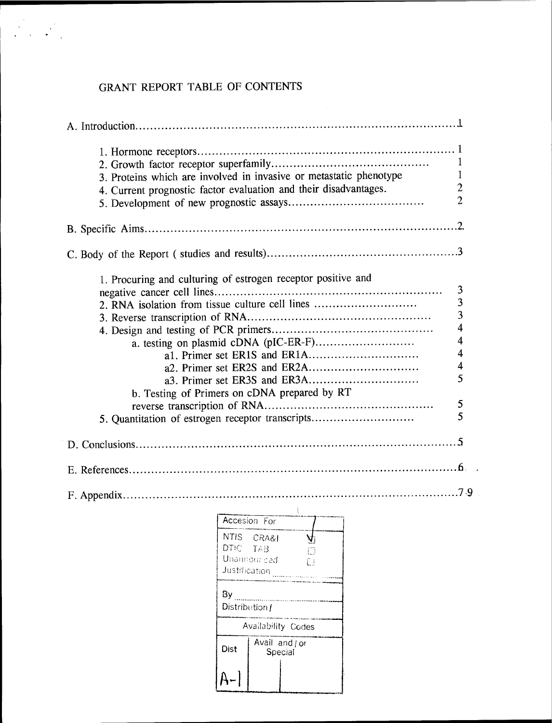# GRANT REPORT TABLE OF CONTENTS

| 3. Proteins which are involved in invasive or metastatic phenotype<br>4. Current prognostic factor evaluation and their disadvantages.                                                                              | 1<br>1<br>$\overline{2}$<br>$\overline{2}$                                                        |
|---------------------------------------------------------------------------------------------------------------------------------------------------------------------------------------------------------------------|---------------------------------------------------------------------------------------------------|
|                                                                                                                                                                                                                     |                                                                                                   |
|                                                                                                                                                                                                                     |                                                                                                   |
| 1. Procuring and culturing of estrogen receptor positive and<br>2. RNA isolation from tissue culture cell lines<br>b. Testing of Primers on cDNA prepared by RT<br>5. Quantitation of estrogen receptor transcripts | 3<br>$\frac{3}{3}$<br>$\overline{\mathbf{4}}$<br>$\overline{\mathbf{4}}$<br>4<br>4<br>5<br>5<br>5 |
|                                                                                                                                                                                                                     |                                                                                                   |
|                                                                                                                                                                                                                     |                                                                                                   |
|                                                                                                                                                                                                                     |                                                                                                   |
| $\frac{1}{\text{Acceleration For}}$<br>NTIS CRA&I<br>DTIC-<br>TAB<br>Unamounced<br>Justification <b></b><br>By<br>Distribution f<br>Availability Codes<br>Avail and / or<br>Dist<br>Special<br>A-                   |                                                                                                   |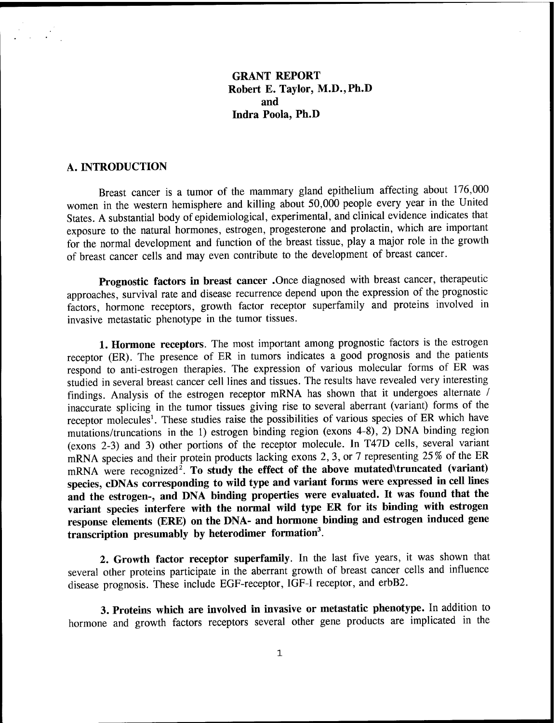## **GRANT REPORT Robert E. Taylor, M.D.,Ph.D and Indra Poola, Ph.D**

#### **A. INTRODUCTION**

Breast cancer is a tumor of the mammary gland epithelium affecting about 176,000 women in the western hemisphere and killing about 50,000 people every year in the United States. A substantial body of epidemiological, experimental, and clinical evidence indicates that exposure to the natural hormones, estrogen, progesterone and prolactin, which are important for the normal development and function of the breast tissue, play a major role in the growth of breast cancer cells and may even contribute to the development of breast cancer.

**Prognostic factors in breast cancer** .Once diagnosed with breast cancer, therapeutic approaches, survival rate and disease recurrence depend upon the expression of the prognostic factors, hormone receptors, growth factor receptor superfamily and proteins involved in invasive metastatic phenotype in the tumor tissues.

**1. Hormone receptors.** The most important among prognostic factors is the estrogen receptor (ER). The presence of ER in tumors indicates a good prognosis and the patients respond to anti-estrogen therapies. The expression of various molecular forms of ER was studied in several breast cancer cell lines and tissues. The results have revealed very interesting findings. Analysis of the estrogen receptor mRNA has shown that it undergoes alternate / inaccurate splicing in the tumor tissues giving rise to several aberrant (variant) forms of the receptor molecules<sup>1</sup>. These studies raise the possibilities of various species of ER which have mutations/truncations in the 1) estrogen binding region (exons 4-8), 2) DNA binding region (exons 2-3) and 3) other portions of the receptor molecule. In T47D cells, several variant mRNA species and their protein products lacking exons 2, 3, or 7 representing 25% of the ER  $\mu$ RNA were recognized<sup>2</sup>. To study the effect of the above mutated\truncated (variant) **species, cDNAs corresponding to wild type and variant forms were expressed in cell lines and the estrogen-, and DNA binding properties were evaluated. It was found that the variant species interfere with the normal wild type ER for its binding with estrogen response elements (ERE) on the DNA- and hormone binding and estrogen induced gene transcription presumably by heterodimer formation<sup>3</sup> .**

**2. Growth factor receptor superfamily.** In the last five years, it was shown that several other proteins participate in the aberrant growth of breast cancer cells and influence disease prognosis. These include EGF-receptor, IGF-I receptor, and erbB2.

**3. Proteins which are involved in invasive or metastatic phenotype.** In addition to hormone and growth factors receptors several other gene products are implicated in the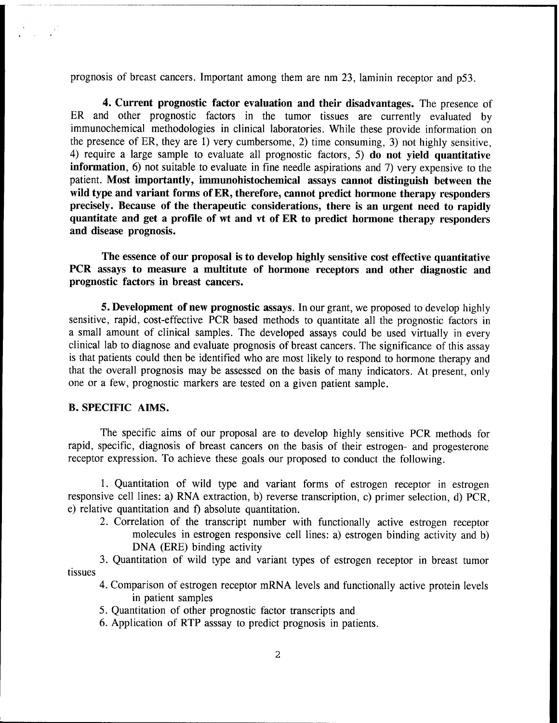prognosis of breast cancers. Important among them are nm 23, laminin receptor and p53.

**4. Current prognostic factor evaluation and their disadvantages.** The presence of ER and other prognostic factors in the tumor tissues are currently evaluated by immunochemical methodologies in clinical laboratories. While these provide information on the presence of ER, they are 1) very cumbersome, 2) time consuming, 3) not highly sensitive, 4) require a large sample to evaluate all prognostic factors, 5) **do not yield quantitative information,** 6) not suitable to evaluate in fine needle aspirations and 7) very expensive to the patient. **Most importantly, immunohistochemical assays cannot distinguish between the wild type and variant forms ofER, therefore, cannot predict hormone therapy responders precisely. Because of the therapeutic considerations, there is an urgent need to rapidly quantitate and get a profile of wt and vt of ER to predict hormone therapy responders and disease prognosis.**

**The essence of our proposal is to develop highly sensitive cost effective quantitative PCR assays to measure a multitute of hormone receptors and other diagnostic and prognostic factors in breast cancers.**

**5. Development of new prognostic assays.** In our grant, we proposed to develop highly sensitive, rapid, cost-effective PCR based methods to quantitate all the prognostic factors in a small amount of clinical samples. The developed assays could be used virtually in every clinical lab to diagnose and evaluate prognosis of breast cancers. The significance of this assay is that patients could then be identified who are most likely to respond to hormone therapy and that the overall prognosis may be assessed on the basis of many indicators. At present, only one or a few, prognostic markers are tested on a given patient sample.

#### **B. SPECIFIC AIMS.**

The specific aims of our proposal are to develop highly sensitive PCR methods for rapid, specific, diagnosis of breast cancers on the basis of their estrogen- and progesterone receptor expression. To achieve these goals our proposed to conduct the following.

1. Quantitation of wild type and variant forms of estrogen receptor in estrogen responsive cell lines: a) RNA extraction, b) reverse transcription, c) primer selection, d) PCR, e) relative quantitation and f) absolute quantitation.

2. Correlation of the transcript number with functionally active estrogen receptor molecules in estrogen responsive cell lines: a) estrogen binding activity and b) DNA (ERE) binding activity

3. Quantitation of wild type and variant types of estrogen receptor in breast tumor tissues

- 4. Comparison of estrogen receptor mRNA levels and functionally active protein levels in patient samples
- 5. Quantitation of other prognostic factor transcripts and
- 6. Application of RTP asssay to predict prognosis in patients.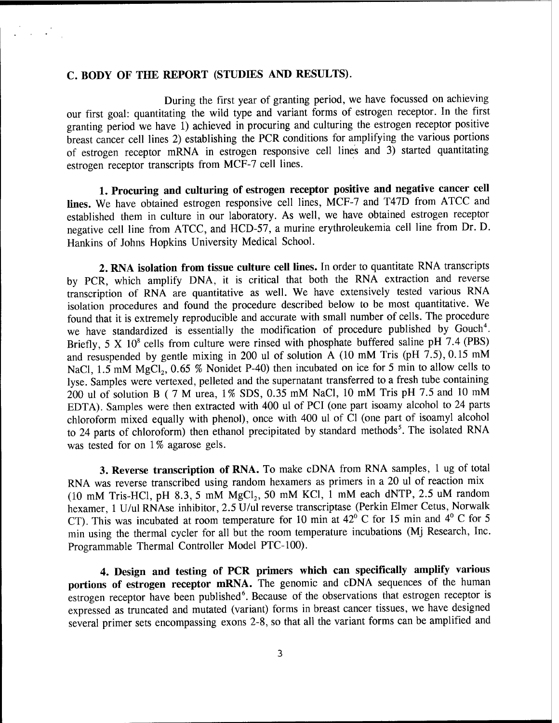#### **C. BODY OF THE REPORT (STUDIES AND RESULTS).**

 $\mathcal{L} = \mathcal{L} \times \mathcal{L}$ 

During the first year of granting period, we have focussed on achieving our first goal: quantitating the wild type and variant forms of estrogen receptor. In the first granting period we have 1) achieved in procuring and culturing the estrogen receptor positive breast cancer cell lines 2) establishing the PCR conditions for amplifying the various portions of estrogen receptor mRNA in estrogen responsive cell lines and 3) started quantitating estrogen receptor transcripts from MCF-7 cell lines.

**1. Procuring and culturing of estrogen receptor positive and negative cancer cell lines.** We have obtained estrogen responsive cell lines, MCF-7 and T47D from ATCC and established them in culture in our laboratory. As well, we have obtained estrogen receptor negative cell line from ATCC, and HCD-57, a murine erythroleukemia cell line from Dr. D. Hankins of Johns Hopkins University Medical School.

**2. RNA isolation from tissue culture cell lines.** In order to quantitate RNA transcripts by PCR, which amplify DNA, it is critical that both the RNA extraction and reverse transcription of RNA are quantitative as well. We have extensively tested various RNA isolation procedures and found the procedure described below to be most quantitative. We found that it is extremely reproducible and accurate with small number of cells. The procedure we have standardized is essentially the modification of procedure published by Gouch<sup>4</sup>. Briefly, 5 X  $10^8$  cells from culture were rinsed with phosphate buffered saline pH 7.4 (PBS) and resuspended by gentle mixing in 200 ul of solution  $A$  (10 mM Tris (pH 7.5), 0.15 mM NaCl,  $1.5 \text{ mM } MgCl<sub>2</sub>$ ,  $0.65 \text{ %}$  Nonidet P-40) then incubated on ice for 5 min to allow cells to lyse. Samples were vertexed, pelleted and the supernatant transferred to a fresh tube containing 200 ul of solution B ( 7 M urea, 1% SDS, 0.35 mM NaCl, 10 mM Tris pH 7.5 and 10 mM EDTA). Samples were then extracted with 400 ul of PCI (one part isoamy alcohol to 24 parts chloroform mixed equally with phenol), once with 400 ul of Cl (one part of isoamyl alcohol to 24 parts of chloroform) then ethanol precipitated by standard methods<sup>5</sup>. The isolated RNA was tested for on 1% agarose gels.

**3. Reverse transcription of RNA.** To make cDNA from RNA samples, <sup>1</sup> ug of total RNA was reverse transcribed using random hexamers as primers in a 20 ul of reaction mix (10 mM Tris-HCl, pH 8.3, 5 mM  $MgCl<sub>2</sub>$ , 50 mM KCl, 1 mM each dNTP, 2.5 uM random hexamer, <sup>1</sup> U/ul RNAse inhibitor, 2.5 U/ul reverse transcriptase (Perkin Elmer Cetus, Norwalk CT). This was incubated at room temperature for 10 min at  $42^{\circ}$  C for 15 min and  $4^{\circ}$  C for 5 min using the thermal cycler for all but the room temperature incubations (Mj Research, Inc. Programmable Thermal Controller Model PTC-100).

**4. Design and testing of PCR primers which can specifically amplify various portions of estrogen receptor mRNA.** The genomic and cDNA sequences of the human estrogen receptor have been published<sup>6</sup>. Because of the observations that estrogen receptor is expressed as truncated and mutated (variant) forms in breast cancer tissues, we have designed several primer sets encompassing exons 2-8, so that all the variant forms can be amplified and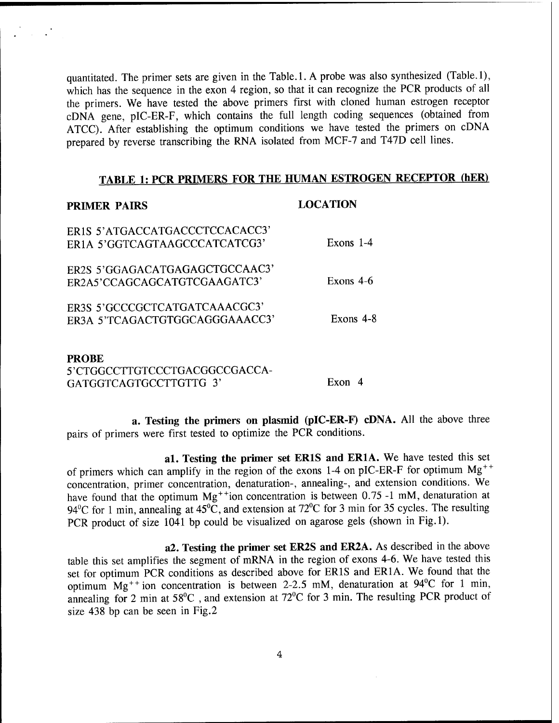quantitated. The primer sets are given in the Table. 1. A probe was also synthesized (Table. 1), which has the sequence in the exon 4 region, so that it can recognize the PCR products of all the primers. We have tested the above primers first with cloned human estrogen receptor cDNA gene, pIC-ER-F, which contains the full length coding sequences (obtained from ATCC). After establishing the optimum conditions we have tested the primers on cDNA prepared by reverse transcribing the RNA isolated from MCF-7 and T47D cell lines.

## **TABLE 1: PCR PRIMERS FOR THE HUMAN ESTROGEN RECEPTOR (hER)**

### **PRIMER PAIRS LOCATION**

| ER1S 5'ATGACCATGACCCTCCACACC3'<br>ER1A 5'GGTCAGTAAGCCCATCATCG3' | Exons $1-4$ |
|-----------------------------------------------------------------|-------------|
| ER2S 5'GGAGACATGAGAGCTGCCAAC3'<br>ER2A5'CCAGCAGCATGTCGAAGATC3'  | Exons $4-6$ |
| ER3S 5'GCCCGCTCATGATCAAACGC3'<br>ER3A 5'TCAGACTGTGGCAGGGAAACC3' | Exons $4-8$ |
| <b>PROBE</b>                                                    |             |

5'CTGGCCTTGTCCCTGACGGCCGACCA-GATGGTCAGTGCCTTGTTG 3' Exon 4

**a. Testing the primers on plasmid (pIC-ER-F) cDNA.** All the above three pairs of primers were first tested to optimize the PCR conditions.

**al. Testing the primer set ER1S and ER1A.** We have tested this set of primers which can amplify in the region of the exons 1-4 on pIC-ER-F for optimum  $Mg^{++}$ concentration, primer concentration, denaturation-, annealing-, and extension conditions. We have found that the optimum Mg<sup>++</sup>ion concentration is between 0.75 -1 mM, denaturation at 94<sup>o</sup>C for 1 min, annealing at  $45^{\circ}$ C, and extension at  $72^{\circ}$ C for 3 min for 35 cycles. The resulting PCR product of size 1041 bp could be visualized on agarose gels (shown in Fig.l).

**a2. Testing the primer set ER2S and ER2A.** As described in the above table this set amplifies the segment of mRNA in the region of exons 4-6. We have tested this set for optimum PCR conditions as described above for ER1S and ER1A. We found that the optimum  $Mg^{++}$  ion concentration is between 2-2.5 mM, denaturation at  $94^{\circ}$ C for 1 min, annealing for 2 min at  $58^{\circ}$ C, and extension at  $72^{\circ}$ C for 3 min. The resulting PCR product of size 438 bp can be seen in Fig.2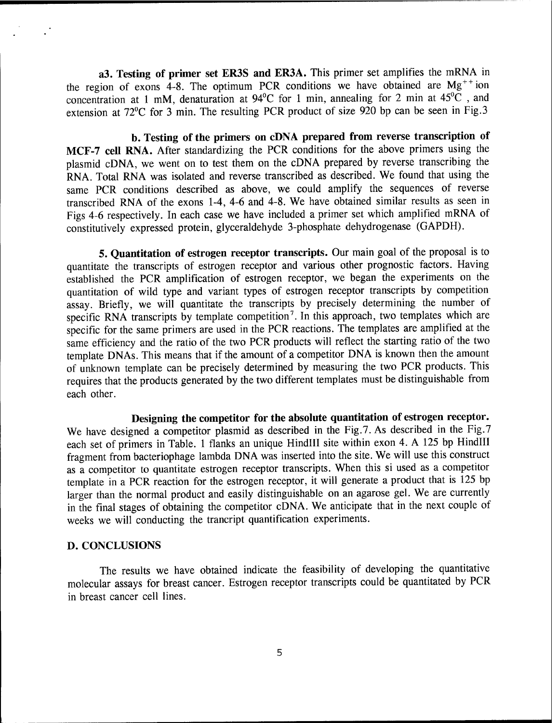**a3. Testing of primer set ER3S and ER3A.** This primer set amplifies the mRNA in the region of exons 4-8. The optimum PCR conditions we have obtained are  $Mg^{++}$  ion concentration at <sup>1</sup> mM, denaturation at 94°C for <sup>1</sup> min, annealing for 2 min at 45°C , and extension at 72°C for 3 min. The resulting PCR product of size 920 bp can be seen in Fig.3

**b. Testing of the primers on cDNA prepared from reverse transcription of MCF-7 cell RNA.** After standardizing the PCR conditions for the above primers using the plasmid cDNA, we went on to test them on the cDNA prepared by reverse transcribing the RNA. Total RNA was isolated and reverse transcribed as described. We found that using the same PCR conditions described as above, we could amplify the sequences of reverse transcribed RNA of the exons 1-4, 4-6 and 4-8. We have obtained similar results as seen in Figs 4-6 respectively. In each case we have included a primer set which amplified mRNA of constitutively expressed protein, glyceraldehyde 3-phosphate dehydrogenase (GAPDH).

**5. Quantitation of estrogen receptor transcripts.** Our main goal of the proposal is to quantitate the transcripts of estrogen receptor and various other prognostic factors. Having established the PCR amplification of estrogen receptor, we began the experiments on the quantitation of wild type and variant types of estrogen receptor transcripts by competition assay. Briefly, we will quantitate the transcripts by precisely determining the number of specific RNA transcripts by template competition<sup>7</sup>. In this approach, two templates which are specific for the same primers are used in the PCR reactions. The templates are amplified at the same efficiency and the ratio of the two PCR products will reflect the starting ratio of the two template DNAs. This means that if the amount of a competitor DNA is known then the amount of unknown template can be precisely determined by measuring the two PCR products. This requires that the products generated by the two different templates must be distinguishable from each other.

**Designing the competitor for the absolute quantitation of estrogen receptor.** We have designed a competitor plasmid as described in the Fig.7. As described in the Fig.7 each set of primers in Table. 1 flanks an unique HindIII site within exon 4. A 125 bp HindIII fragment from bacteriophage lambda DNA was inserted into the site. We will use this construct as a competitor to quantitate estrogen receptor transcripts. When this si used as a competitor template in a PCR reaction for the estrogen receptor, it will generate a product that is 125 bp larger than the normal product and easily distinguishable on an agarose gel. We are currently in the final stages of obtaining the competitor cDNA. We anticipate that in the next couple of weeks we will conducting the trancript quantification experiments.

#### **D. CONCLUSIONS**

The results we have obtained indicate the feasibility of developing the quantitative molecular assays for breast cancer. Estrogen receptor transcripts could be quantitated by PCR in breast cancer cell lines.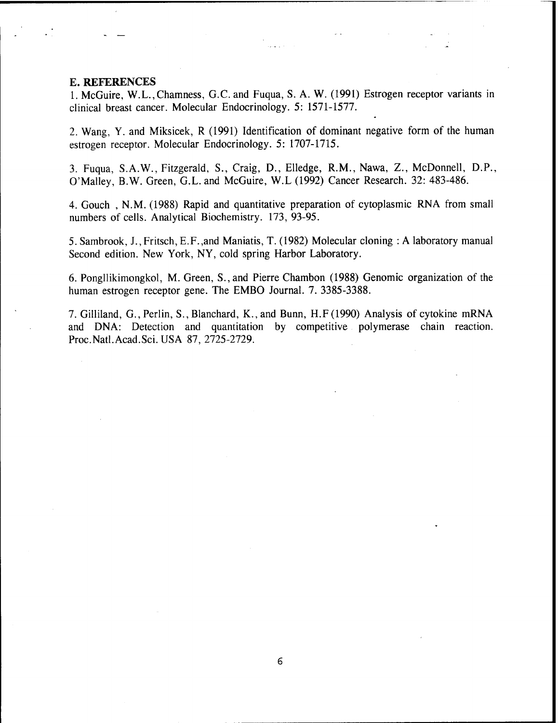#### E. REFERENCES

1. McGuire, W.L.,Chamness, G.C. and Fuqua, S. A. W. (1991) Estrogen receptor variants in clinical breast cancer. Molecular Endocrinology. 5: 1571-1577.

2. Wang, Y. and Miksicek, R (1991) Identification of dominant negative form of the human estrogen receptor. Molecular Endocrinology. 5: 1707-1715.

3. Fuqua, S.A.W., Fitzgerald, S., Craig, D., Elledge, R.M., Nawa, Z., McDonnell, D.P., O'Malley, B.W. Green, G.L. and McGuire, W.L (1992) Cancer Research. 32: 483-486.

4. Gouch , N.M. (1988) Rapid and quantitative preparation of cytoplasmic RNA from small numbers of cells. Analytical Biochemistry. 173, 93-95.

5. Sambrook, J.,Fritsch, E.F.,and Maniatis, T. (1982) Molecular cloning : <sup>A</sup> laboratory manual Second edition. New York, NY, cold spring Harbor Laboratory.

6. Pongllikimongkol, M. Green, S.,and Pierre Chambon (1988) Genomic organization of the human estrogen receptor gene. The EMBO Journal. 7. 3385-3388.

7. Gilliland, G.,Perlin, S., Blanchard, K.,and Bunn, H.F(1990) Analysis of cytokine mRNA and DNA: Detection and quantitation by competitive polymerase chain reaction. Proc.Natl.Acad.Sci.USA 87, 2725-2729.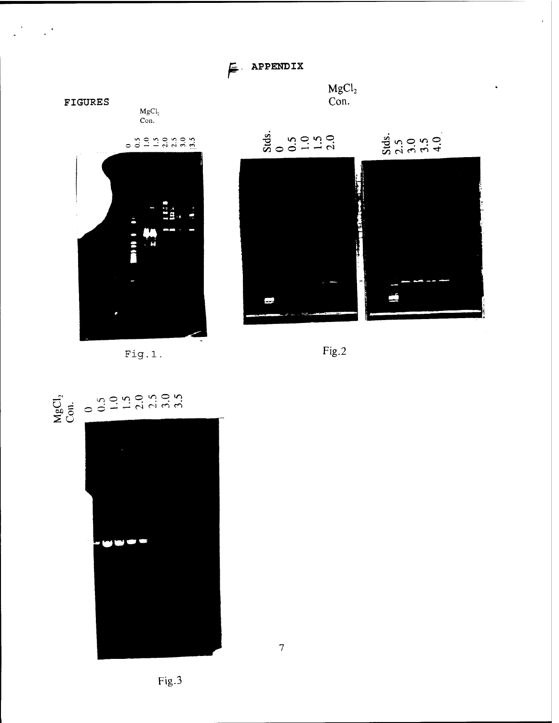$\epsilon$  APPENDIX



 $\mathbb{R}^3$ 





 $Fig.2$ 





 $Fig.1.$ 

Fig.3

 $\overline{7}$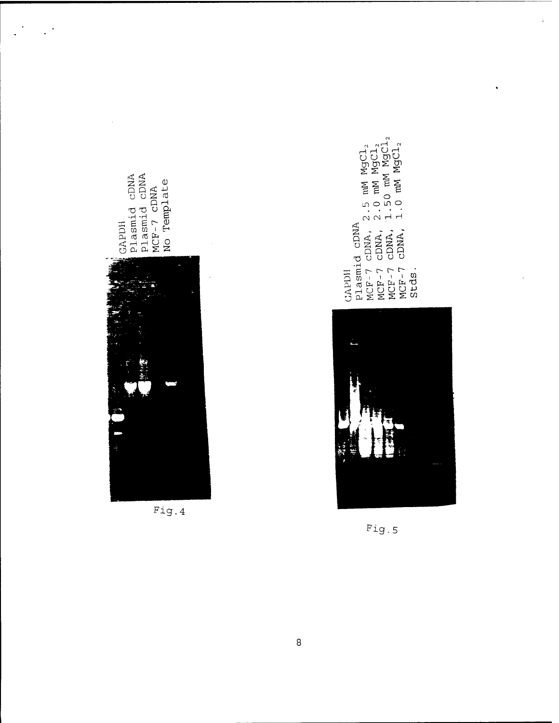

 $\mathbb{R}^3$ 

Fig.4

 $\frac{1}{1000}$ <br>  $\frac{1}{1000}$ <br>  $\frac{1}{1000}$ <br>  $\frac{1}{1000}$ <br>  $\frac{1}{1000}$ <br>  $\frac{1}{1000}$ <br>  $\frac{1}{1000}$ <br>  $\frac{1}{1000}$ <br>  $\frac{1}{1000}$ <br>  $\frac{1}{1000}$ <br>  $\frac{1}{1000}$ <br>  $\frac{1}{1000}$ <br>  $\frac{1}{1000}$ <br>  $\frac{1}{1000}$ <br>  $\frac{1}{1000}$ <br>  $\frac{1}{1000}$ Plasmid CDNA Stds. **GAPDII** 

 $\frac{1}{k}$ 

 $\ddot{\phantom{0}}$ 



Fig.5